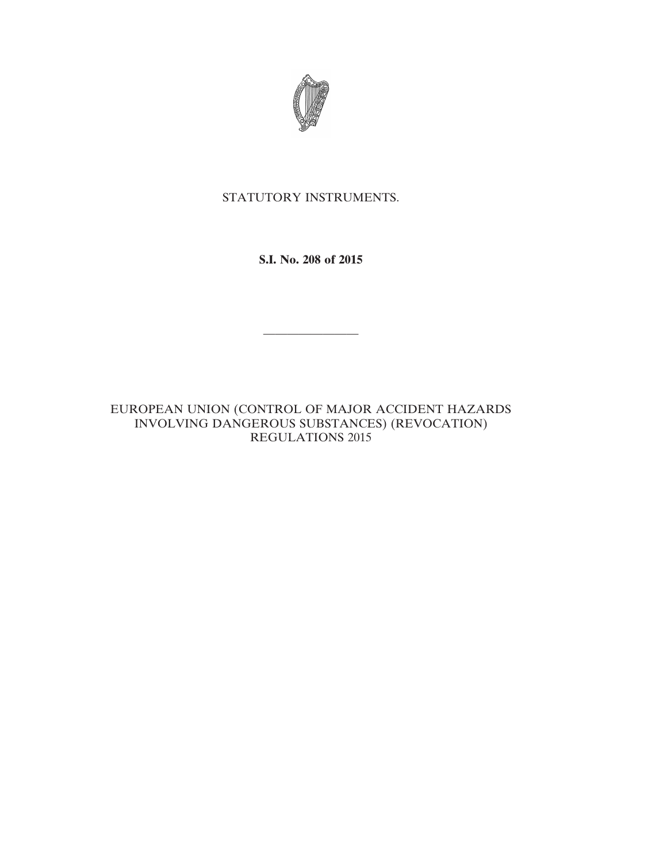

## STATUTORY INSTRUMENTS.

**S.I. No. 208 of 2015**

————————

EUROPEAN UNION (CONTROL OF MAJOR ACCIDENT HAZARDS INVOLVING DANGEROUS SUBSTANCES) (REVOCATION) REGULATIONS 2015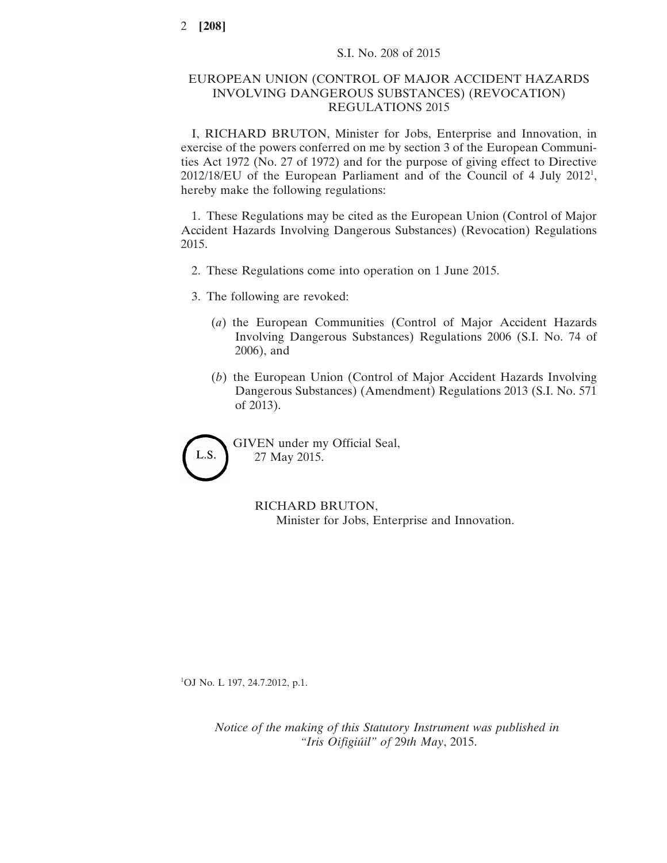## EUROPEAN UNION (CONTROL OF MAJOR ACCIDENT HAZARDS INVOLVING DANGEROUS SUBSTANCES) (REVOCATION) REGULATIONS 2015

I, RICHARD BRUTON, Minister for Jobs, Enterprise and Innovation, in exercise of the powers conferred on me by section 3 of the European Communities Act 1972 (No. 27 of 1972) and for the purpose of giving effect to Directive 2012/18/EU of the European Parliament and of the Council of 4 July 2012<sup>1</sup>, hereby make the following regulations:

1. These Regulations may be cited as the European Union (Control of Major Accident Hazards Involving Dangerous Substances) (Revocation) Regulations 2015.

- 2. These Regulations come into operation on 1 June 2015.
- 3. The following are revoked:
	- (*a*) the European Communities (Control of Major Accident Hazards Involving Dangerous Substances) Regulations 2006 (S.I. No. 74 of 2006), and
	- (*b*) the European Union (Control of Major Accident Hazards Involving Dangerous Substances) (Amendment) Regulations 2013 (S.I. No. 571 of 2013).

L.S.

GIVEN under my Official Seal, 27 May 2015.

> RICHARD BRUTON, Minister for Jobs, Enterprise and Innovation.

<sup>1</sup>OJ No. L 197, 24.7.2012, p.1.

*Notice of the making of this Statutory Instrument was published in "Iris Oifigiúil" of* 29*th May*, 2015.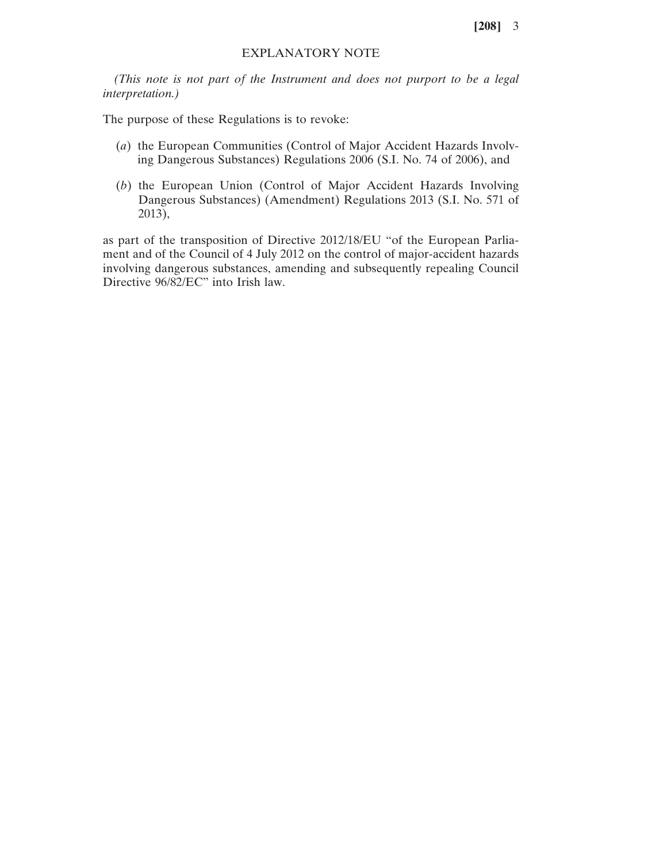**[208]** 3

## EXPLANATORY NOTE

*(This note is not part of the Instrument and does not purport to be a legal interpretation.)*

The purpose of these Regulations is to revoke:

- (*a*) the European Communities (Control of Major Accident Hazards Involving Dangerous Substances) Regulations 2006 (S.I. No. 74 of 2006), and
- (*b*) the European Union (Control of Major Accident Hazards Involving Dangerous Substances) (Amendment) Regulations 2013 (S.I. No. 571 of 2013),

as part of the transposition of Directive 2012/18/EU "of the European Parliament and of the Council of 4 July 2012 on the control of major-accident hazards involving dangerous substances, amending and subsequently repealing Council Directive 96/82/EC" into Irish law.